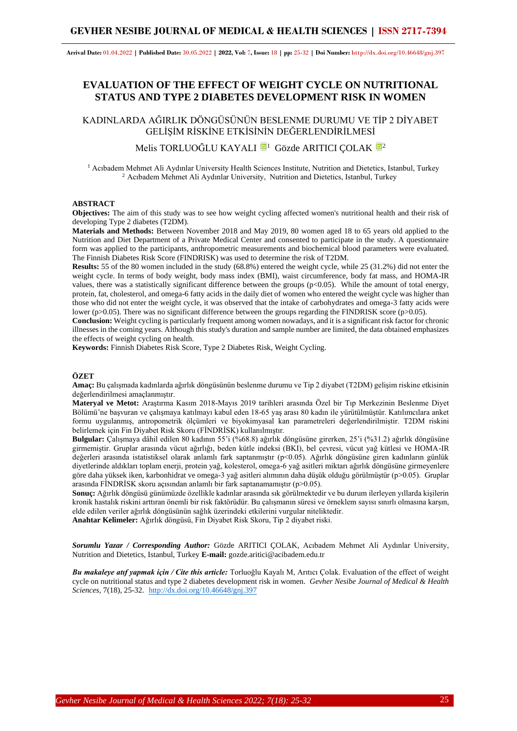**Arrival Date:** 01.04.2022 **| Published Date:** 30.05.2022 **| 2022, Vol:** 7**, Issue:** 18 **| pp:** 25-32 **| Doi Number:** http://dx.doi.org/10.46648/gnj.397

# **EVALUATION OF THE EFFECT OF WEIGHT CYCLE ON NUTRITIONAL STATUS AND TYPE 2 DIABETES DEVELOPMENT RISK IN WOMEN**

KADINLARDA AĞIRLIK DÖNGÜSÜNÜN BESLENME DURUMU VE TİP 2 DİYABET GELİŞİM RİSKİNE ETKİSİNİN DEĞERLENDİRİLMESİ

Melis TORLUOĞLU KAYALI <sup>1</sup> Gözde ARITICI COLAK <sup>1[2](https://orcid.org/0000-0002-7982-180X)</sup>

<sup>1</sup> Acıbadem Mehmet Ali Aydınlar University Health Sciences Institute, Nutrition and Dietetics, Istanbul, Turkey <sup>2</sup> Acıbadem Mehmet Ali Aydınlar University, Nutrition and Dietetics, Istanbul, Turkey

#### **ABSTRACT**

**Objectives:** The aim of this study was to see how weight cycling affected women's nutritional health and their risk of developing Type 2 diabetes (T2DM).

**Materials and Methods:** Between November 2018 and May 2019, 80 women aged 18 to 65 years old applied to the Nutrition and Diet Department of a Private Medical Center and consented to participate in the study. A questionnaire form was applied to the participants, anthropometric measurements and biochemical blood parameters were evaluated. The Finnish Diabetes Risk Score (FINDRISK) was used to determine the risk of T2DM.

**Results:** 55 of the 80 women included in the study (68.8%) entered the weight cycle, while 25 (31.2%) did not enter the weight cycle. In terms of body weight, body mass index (BMI), waist circumference, body fat mass, and HOMA-IR values, there was a statistically significant difference between the groups  $(p<0.05)$ . While the amount of total energy, protein, fat, cholesterol, and omega-6 fatty acids in the daily diet of women who entered the weight cycle was higher than those who did not enter the weight cycle, it was observed that the intake of carbohydrates and omega-3 fatty acids were lower (p>0.05). There was no significant difference between the groups regarding the FINDRISK score (p>0.05).

**Conclusion:** Weight cycling is particularly frequent among women nowadays, and it is a significant risk factor for chronic illnesses in the coming years. Although this study's duration and sample number are limited, the data obtained emphasizes the effects of weight cycling on health.

**Keywords:** Finnish Diabetes Risk Score, Type 2 Diabetes Risk, Weight Cycling.

#### **ÖZET**

**Amaç:** Bu çalışmada kadınlarda ağırlık döngüsünün beslenme durumu ve Tip 2 diyabet (T2DM) gelişim riskine etkisinin değerlendirilmesi amaçlanmıştır.

**Materyal ve Metot:** Araştırma Kasım 2018-Mayıs 2019 tarihleri arasında Özel bir Tıp Merkezinin Beslenme Diyet Bölümü'ne başvuran ve çalışmaya katılmayı kabul eden 18-65 yaş arası 80 kadın ile yürütülmüştür. Katılımcılara anket formu uygulanmış, antropometrik ölçümleri ve biyokimyasal kan parametreleri değerlendirilmiştir. T2DM riskini belirlemek için Fin Diyabet Risk Skoru (FİNDRİSK) kullanılmıştır.

**Bulgular:** Çalışmaya dâhil edilen 80 kadının 55'i (%68.8) ağırlık döngüsüne girerken, 25'i (%31.2) ağırlık döngüsüne girmemiştir. Gruplar arasında vücut ağırlığı, beden kütle indeksi (BKI), bel çevresi, vücut yağ kütlesi ve HOMA-IR değerleri arasında istatistiksel olarak anlamlı fark saptanmıştır (p<0.05). Ağırlık döngüsüne giren kadınların günlük diyetlerinde aldıkları toplam enerji, protein yağ, kolesterol, omega-6 yağ asitleri miktarı ağırlık döngüsüne girmeyenlere göre daha yüksek iken, karbonhidrat ve omega-3 yağ asitleri alımının daha düşük olduğu görülmüştür (p>0.05). Gruplar arasında FİNDRİSK skoru açısından anlamlı bir fark saptanamamıştır (p>0.05).

**Sonuç:** Ağırlık döngüsü günümüzde özellikle kadınlar arasında sık görülmektedir ve bu durum ilerleyen yıllarda kişilerin kronik hastalık riskini arttıran önemli bir risk faktörüdür. Bu çalışmanın süresi ve örneklem sayısı sınırlı olmasına karşın, elde edilen veriler ağırlık döngüsünün sağlık üzerindeki etkilerini vurgular niteliktedir.

**Anahtar Kelimeler:** Ağırlık döngüsü, Fin Diyabet Risk Skoru, Tip 2 diyabet riski.

*Sorumlu Yazar / Corresponding Author:* Gözde ARITICI ÇOLAK, Acıbadem Mehmet Ali Aydınlar University, Nutrition and Dietetics, Istanbul, Turkey **E-mail:** gozde.aritici@acibadem.edu.tr

*Bu makaleye atıf yapmak için / Cite this article:* Torluoğlu Kayalı M, Arıtıcı Çolak. Evaluation of the effect of weight cycle on nutritional status and type 2 diabetes development risk in women. *Gevher Nesibe Journal of Medical & Health Sciences,* 7(18), 25-32. [http://dx.doi.org/10.46648/gnj.397](http://dx.doi.org/10.46648/gnj.387)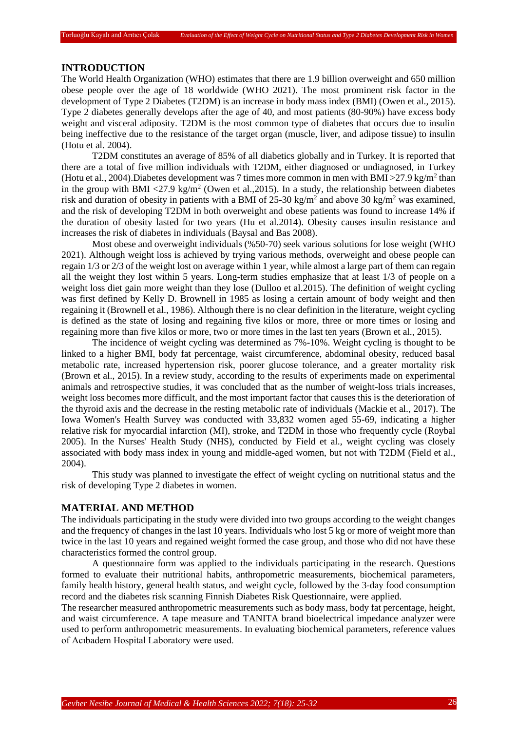## **INTRODUCTION**

The World Health Organization (WHO) estimates that there are 1.9 billion overweight and 650 million obese people over the age of 18 worldwide (WHO 2021). The most prominent risk factor in the development of Type 2 Diabetes (T2DM) is an increase in body mass index (BMI) (Owen et al., 2015). Type 2 diabetes generally develops after the age of 40, and most patients (80-90%) have excess body weight and visceral adiposity. T2DM is the most common type of diabetes that occurs due to insulin being ineffective due to the resistance of the target organ (muscle, liver, and adipose tissue) to insulin (Hotu et al. 2004).

T2DM constitutes an average of 85% of all diabetics globally and in Turkey. It is reported that there are a total of five million individuals with T2DM, either diagnosed or undiagnosed, in Turkey (Hotu et al., 2004). Diabetes development was 7 times more common in men with BMI >  $27.9 \text{ kg/m}^2$  than in the group with BMI <27.9 kg/m<sup>2</sup> (Owen et al., 2015). In a study, the relationship between diabetes risk and duration of obesity in patients with a BMI of  $25{\text -}30$  kg/m<sup>2</sup> and above 30 kg/m<sup>2</sup> was examined, and the risk of developing T2DM in both overweight and obese patients was found to increase 14% if the duration of obesity lasted for two years (Hu et al.2014). Obesity causes insulin resistance and increases the risk of diabetes in individuals (Baysal and Bas 2008).

Most obese and overweight individuals (%50-70) seek various solutions for lose weight (WHO 2021). Although weight loss is achieved by trying various methods, overweight and obese people can regain 1/3 or 2/3 of the weight lost on average within 1 year, while almost a large part of them can regain all the weight they lost within 5 years. Long-term studies emphasize that at least 1/3 of people on a weight loss diet gain more weight than they lose (Dulloo et al.2015). The definition of weight cycling was first defined by Kelly D. Brownell in 1985 as losing a certain amount of body weight and then regaining it (Brownell et al., 1986). Although there is no clear definition in the literature, weight cycling is defined as the state of losing and regaining five kilos or more, three or more times or losing and regaining more than five kilos or more, two or more times in the last ten years (Brown et al., 2015).

The incidence of weight cycling was determined as 7%-10%. Weight cycling is thought to be linked to a higher BMI, body fat percentage, waist circumference, abdominal obesity, reduced basal metabolic rate, increased hypertension risk, poorer glucose tolerance, and a greater mortality risk (Brown et al., 2015). In a review study, according to the results of experiments made on experimental animals and retrospective studies, it was concluded that as the number of weight-loss trials increases, weight loss becomes more difficult, and the most important factor that causes this is the deterioration of the thyroid axis and the decrease in the resting metabolic rate of individuals (Mackie et al., 2017). The Iowa Women's Health Survey was conducted with 33,832 women aged 55-69, indicating a higher relative risk for myocardial infarction (MI), stroke, and T2DM in those who frequently cycle (Roybal 2005). In the Nurses' Health Study (NHS), conducted by Field et al., weight cycling was closely associated with body mass index in young and middle-aged women, but not with T2DM (Field et al., 2004).

This study was planned to investigate the effect of weight cycling on nutritional status and the risk of developing Type 2 diabetes in women.

### **MATERIAL AND METHOD**

The individuals participating in the study were divided into two groups according to the weight changes and the frequency of changes in the last 10 years. Individuals who lost 5 kg or more of weight more than twice in the last 10 years and regained weight formed the case group, and those who did not have these characteristics formed the control group.

A questionnaire form was applied to the individuals participating in the research. Questions formed to evaluate their nutritional habits, anthropometric measurements, biochemical parameters, family health history, general health status, and weight cycle, followed by the 3-day food consumption record and the diabetes risk scanning Finnish Diabetes Risk Questionnaire, were applied.

The researcher measured anthropometric measurements such as body mass, body fat percentage, height, and waist circumference. A tape measure and TANITA brand bioelectrical impedance analyzer were used to perform anthropometric measurements. In evaluating biochemical parameters, reference values of Acıbadem Hospital Laboratory were used.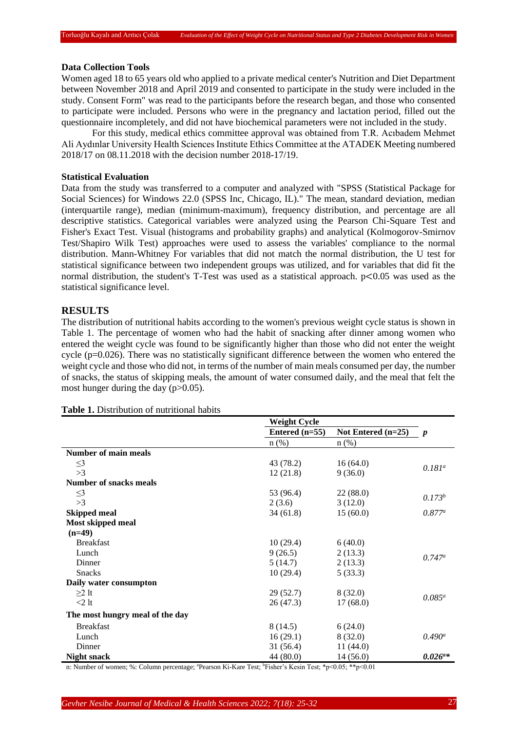### **Data Collection Tools**

Women aged 18 to 65 years old who applied to a private medical center's Nutrition and Diet Department between November 2018 and April 2019 and consented to participate in the study were included in the study. Consent Form" was read to the participants before the research began, and those who consented to participate were included. Persons who were in the pregnancy and lactation period, filled out the questionnaire incompletely, and did not have biochemical parameters were not included in the study.

For this study, medical ethics committee approval was obtained from T.R. Acıbadem Mehmet Ali Aydınlar University Health Sciences Institute Ethics Committee at the ATADEK Meeting numbered 2018/17 on 08.11.2018 with the decision number 2018-17/19.

### **Statistical Evaluation**

Data from the study was transferred to a computer and analyzed with "SPSS (Statistical Package for Social Sciences) for Windows 22.0 (SPSS Inc, Chicago, IL)." The mean, standard deviation, median (interquartile range), median (minimum-maximum), frequency distribution, and percentage are all descriptive statistics. Categorical variables were analyzed using the Pearson Chi-Square Test and Fisher's Exact Test. Visual (histograms and probability graphs) and analytical (Kolmogorov-Smirnov Test/Shapiro Wilk Test) approaches were used to assess the variables' compliance to the normal distribution. Mann-Whitney For variables that did not match the normal distribution, the U test for statistical significance between two independent groups was utilized, and for variables that did fit the normal distribution, the student's T-Test was used as a statistical approach.  $p<0.05$  was used as the statistical significance level.

## **RESULTS**

The distribution of nutritional habits according to the women's previous weight cycle status is shown in Table 1. The percentage of women who had the habit of snacking after dinner among women who entered the weight cycle was found to be significantly higher than those who did not enter the weight cycle (p=0.026). There was no statistically significant difference between the women who entered the weight cycle and those who did not, in terms of the number of main meals consumed per day, the number of snacks, the status of skipping meals, the amount of water consumed daily, and the meal that felt the most hunger during the day  $(p>0.05)$ .

|                                 | <b>Weight Cycle</b> |                      |                  |
|---------------------------------|---------------------|----------------------|------------------|
|                                 | Entered $(n=55)$    | Not Entered $(n=25)$ | $\boldsymbol{p}$ |
|                                 | $n$ $(\%)$          | $n$ (%)              |                  |
| <b>Number of main meals</b>     |                     |                      |                  |
| $\leq$ 3                        | 43 (78.2)           | 16(64.0)             | $0.181^a$        |
| >3                              | 12(21.8)            | 9(36.0)              |                  |
| <b>Number of snacks meals</b>   |                     |                      |                  |
| $\leq$ 3                        | 53 (96.4)           | 22(88.0)             | $0.173^{b}$      |
| >3                              | 2(3.6)              | 3(12.0)              |                  |
| <b>Skipped meal</b>             | 34(61.8)            | 15(60.0)             | $0.877^a$        |
| <b>Most skipped meal</b>        |                     |                      |                  |
| $(n=49)$                        |                     |                      |                  |
| <b>Breakfast</b>                | 10(29.4)            | 6(40.0)              |                  |
| Lunch                           | 9(26.5)             | 2(13.3)              | $0.747^a$        |
| Dinner                          | 5 (14.7)            | 2(13.3)              |                  |
| <b>Snacks</b>                   | 10(29.4)            | 5(33.3)              |                  |
| Daily water consumpton          |                     |                      |                  |
| $\geq$ 2 lt                     | 29(52.7)            | 8(32.0)              | $0.085^a$        |
| $<$ 2 lt                        | 26(47.3)            | 17(68.0)             |                  |
| The most hungry meal of the day |                     |                      |                  |
| <b>Breakfast</b>                | 8 (14.5)            | 6(24.0)              |                  |
| Lunch                           | 16(29.1)            | 8(32.0)              | $0.490^a$        |
| Dinner                          | 31(56.4)            | 11(44.0)             |                  |
| <b>Night snack</b>              | 44 (80.0)           | 14(56.0)             | $0.026^{a*}$     |

#### **Table 1.** Distribution of nutritional habits

n: Number of women; %: Column percentage; "Pearson Ki-Kare Test; "Fisher's Kesin Test; "p<0.05; \*\*p<0.01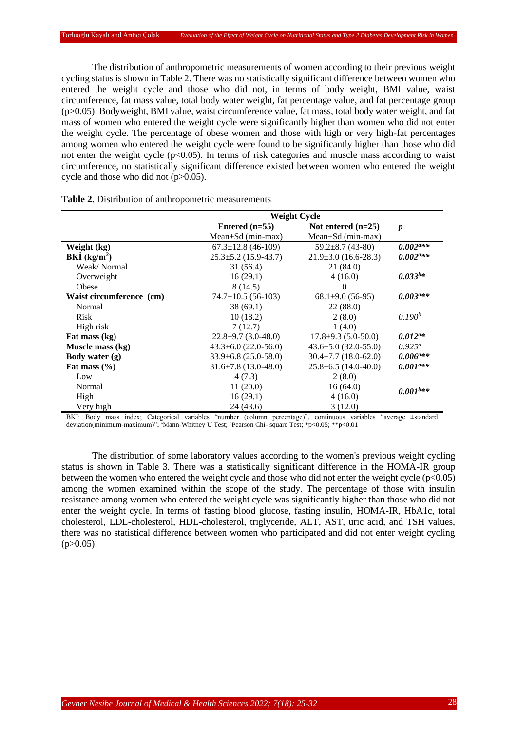The distribution of anthropometric measurements of women according to their previous weight cycling status is shown in Table 2. There was no statistically significant difference between women who entered the weight cycle and those who did not, in terms of body weight, BMI value, waist circumference, fat mass value, total body water weight, fat percentage value, and fat percentage group (p>0.05). Bodyweight, BMI value, waist circumference value, fat mass, total body water weight, and fat mass of women who entered the weight cycle were significantly higher than women who did not enter the weight cycle. The percentage of obese women and those with high or very high-fat percentages among women who entered the weight cycle were found to be significantly higher than those who did not enter the weight cycle  $(p<0.05)$ . In terms of risk categories and muscle mass according to waist circumference, no statistically significant difference existed between women who entered the weight cycle and those who did not  $(p>0.05)$ .

|                          | Weight Cycle               |                            |                                     |
|--------------------------|----------------------------|----------------------------|-------------------------------------|
|                          | Entered $(n=55)$           | Not entered $(n=25)$       | $\boldsymbol{p}$                    |
|                          | Mean $\pm$ Sd (min-max)    | Mean $\pm$ Sd (min-max)    |                                     |
| Weight (kg)              | $67.3 \pm 12.8$ (46-109)   | $59.2 \pm 8.7$ (43-80)     | $0.002^{a**}$                       |
| BKİ $(kg/m2)$            | $25.3 \pm 5.2$ (15.9-43.7) | $21.9\pm3.0$ (16.6-28.3)   | $0.002^{a**}$                       |
| Weak/Normal              | 31 (56.4)                  | 21 (84.0)                  |                                     |
| Overweight               | 16(29.1)                   | 4(16.0)                    | $0.033^{b*}$                        |
| Obese                    | 8(14.5)                    | $\Omega$                   |                                     |
| Waist circumference (cm) | $74.7 \pm 10.5$ (56-103)   | $68.1\pm9.0(56-95)$        | $0.003^{a**}$                       |
| Normal                   | 38(69.1)                   | 22(88.0)                   |                                     |
| <b>Risk</b>              | 10(18.2)                   | 2(8.0)                     | 0.190 <sup>b</sup>                  |
| High risk                | 7(12.7)                    | 1(4.0)                     |                                     |
| Fat mass (kg)            | $22.8 \pm 9.7$ (3.0-48.0)  | $17.8 \pm 9.3$ (5.0-50.0)  | $0.012^{a*}$                        |
| Muscle mass (kg)         | $43.3\pm 6.0$ (22.0-56.0)  | $43.6 \pm 5.0$ (32.0-55.0) | $0.925^a$                           |
| Body water $(g)$         | $33.9\pm 6.8$ (25.0-58.0)  | $30.4 \pm 7.7$ (18.0-62.0) | $0.006$ <sup><math>a**</math></sup> |
| Fat mass $(\% )$         | $31.6\pm7.8$ (13.0-48.0)   | $25.8 \pm 6.5$ (14.0-40.0) | $0.001^{a**}$                       |
| Low                      | 4(7.3)                     | 2(8.0)                     |                                     |
| Normal                   | 11(20.0)                   | 16(64.0)                   | $0.001$ <sup>b**</sup>              |
| High                     | 16(29.1)                   | 4(16.0)                    |                                     |
| Very high                | 24 (43.6)                  | 3(12.0)                    |                                     |

| Table 2. Distribution of anthropometric measurements |
|------------------------------------------------------|
|                                                      |

BKİ: Body mass index; Categorical variables "number (column percentage)", continuous variables "average ±standard deviation(minimum-maximum)"; "Mann-Whitney U Test; <sup>b</sup>Pearson Chi- square Test; \*p<0.05; \*\*p<0.01

The distribution of some laboratory values according to the women's previous weight cycling status is shown in Table 3. There was a statistically significant difference in the HOMA-IR group between the women who entered the weight cycle and those who did not enter the weight cycle ( $p<0.05$ ) among the women examined within the scope of the study. The percentage of those with insulin resistance among women who entered the weight cycle was significantly higher than those who did not enter the weight cycle. In terms of fasting blood glucose, fasting insulin, HOMA-IR, HbA1c, total cholesterol, LDL-cholesterol, HDL-cholesterol, triglyceride, ALT, AST, uric acid, and TSH values, there was no statistical difference between women who participated and did not enter weight cycling  $(p>0.05)$ .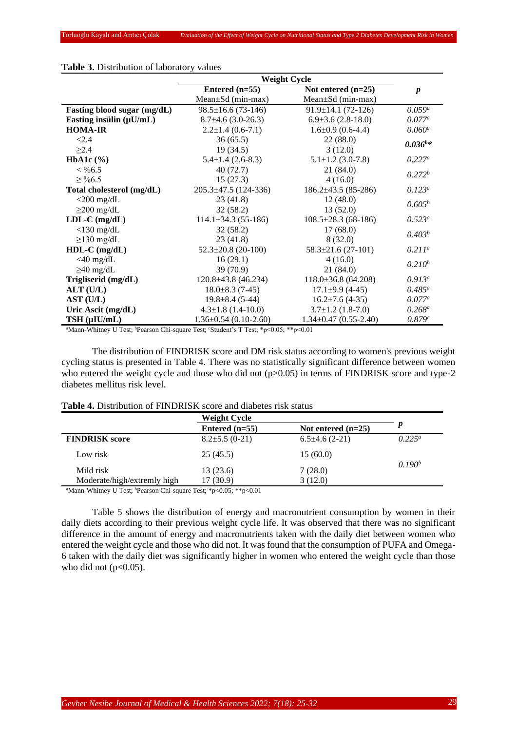|                              | <b>Weight Cycle</b>         |                             |                    |  |
|------------------------------|-----------------------------|-----------------------------|--------------------|--|
|                              | Entered $(n=55)$            | Not entered $(n=25)$        | $\boldsymbol{p}$   |  |
|                              | $Mean \pm Sd$ (min-max)     | Mean±Sd (min-max)           |                    |  |
| Fasting blood sugar (mg/dL)  | $98.5 \pm 16.6$ (73-146)    | $91.9 \pm 14.1$ (72-126)    | $0.059^a$          |  |
| Fasting insulin $(\mu U/mL)$ | $8.7\pm4.6(3.0-26.3)$       | $6.9\pm3.6(2.8-18.0)$       | $0.077^a$          |  |
| <b>HOMA-IR</b>               | $2.2 \pm 1.4$ (0.6-7.1)     | $1.6\pm0.9$ (0.6-4.4)       | $0.060^a$          |  |
| < 2.4                        | 36(65.5)                    | 22(88.0)                    | $0.036^{b*}$       |  |
| $\geq$ 2.4                   | 19(34.5)                    | 3(12.0)                     |                    |  |
| HbA1c $(\% )$                | $5.4 \pm 1.4$ (2.6-8.3)     | $5.1 \pm 1.2$ (3.0-7.8)     | $0.227^a$          |  |
| $< \% 6.5$                   | 40(72.7)                    | 21 (84.0)                   | $0.272^{b}$        |  |
| $\geq$ %6.5                  | 15(27.3)                    | 4(16.0)                     |                    |  |
| Total cholesterol (mg/dL)    | $205.3 \pm 47.5$ (124-336)  | $186.2 \pm 43.5 (85 - 286)$ | $0.123^a$          |  |
| $<$ 200 mg/dL                | 23(41.8)                    | 12(48.0)                    | $0.605^b$          |  |
| $\geq$ 200 mg/dL             | 32(58.2)                    | 13(52.0)                    |                    |  |
| $LDL-C$ (mg/dL)              | $114.1\pm34.3(55-186)$      | $108.5 \pm 28.3$ (68-186)   | $0.523^a$          |  |
| $<$ 130 mg/dL                | 32(58.2)                    | 17(68.0)                    | 0.403 <sup>b</sup> |  |
| $\geq$ 130 mg/dL             | 23(41.8)                    | 8(32.0)                     |                    |  |
| $HDL-C$ (mg/dL)              | $52.3 \pm 20.8$ (20-100)    | $58.3 \pm 21.6$ (27-101)    | $0.211^a$          |  |
| $<$ 40 mg/dL                 | 16(29.1)                    | 4(16.0)                     | $0.210^{b}$        |  |
| $\geq$ 40 mg/dL              | 39(70.9)                    | 21(84.0)                    |                    |  |
| Trigliserid (mg/dL)          | $120.8 \pm 43.8$ (46.234)   | $118.0\pm36.8$ (64.208)     | $0.913^a$          |  |
| $ALT$ (U/L)                  | $18.0 \pm 8.3$ (7-45)       | $17.1\pm9.9(4-45)$          | $0.485^a$          |  |
| AST (U/L)                    | $19.8 \pm 8.4$ (5-44)       | $16.2 \pm 7.6$ (4-35)       | $0.077^a$          |  |
| Uric Ascit (mg/dL)           | $4.3 \pm 1.8$ (1.4-10.0)    | $3.7 \pm 1.2$ (1.8-7.0)     | $0.268^a$          |  |
| $TSH$ ( $\mu$ IU/mL)         | $1.36 \pm 0.54$ (0.10-2.60) | $1.34 \pm 0.47$ (0.55-2.40) | 0.879c             |  |

## **Table 3.** Distribution of laboratory values

<sup>a</sup>Mann-Whitney U Test; <sup>b</sup>Pearson Chi-square Test; <sup>c</sup>Student's T Test; \*p<0.05; \*\*p<0.01

The distribution of FINDRISK score and DM risk status according to women's previous weight cycling status is presented in Table 4. There was no statistically significant difference between women who entered the weight cycle and those who did not (p>0.05) in terms of FINDRISK score and type-2 diabetes mellitus risk level.

#### **Table 4.** Distribution of FINDRISK score and diabetes risk status

|                             | Weight Cycle         |                      |                    |  |
|-----------------------------|----------------------|----------------------|--------------------|--|
|                             | Entered $(n=55)$     | Not entered $(n=25)$ |                    |  |
| <b>FINDRISK</b> score       | $8.2 \pm 5.5$ (0-21) | $6.5\pm4.6(2-21)$    | $0.225^{\circ}$    |  |
| Low risk                    | 25(45.5)             | 15(60.0)             |                    |  |
| Mild risk                   | 13(23.6)             | 7(28.0)              | 0.190 <sup>b</sup> |  |
| Moderate/high/extremly high | 17 (30.9)            | 3(12.0)              |                    |  |

<sup>a</sup>Mann-Whitney U Test; <sup>b</sup>Pearson Chi-square Test;  $*p<0.05$ ;  $*p<0.01$ 

Table 5 shows the distribution of energy and macronutrient consumption by women in their daily diets according to their previous weight cycle life. It was observed that there was no significant difference in the amount of energy and macronutrients taken with the daily diet between women who entered the weight cycle and those who did not. It was found that the consumption of PUFA and Omega-6 taken with the daily diet was significantly higher in women who entered the weight cycle than those who did not  $(p<0.05)$ .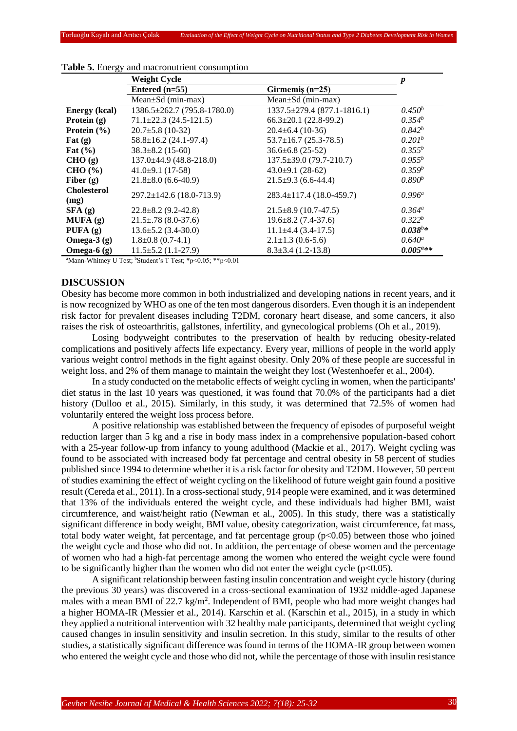|                            | <b>Weight Cycle</b>               |                                     |                    |
|----------------------------|-----------------------------------|-------------------------------------|--------------------|
|                            | Entered $(n=55)$                  | Girmemiş $(n=25)$                   |                    |
|                            | Mean $\pm$ Sd (min-max)           | Mean $\pm$ Sd (min-max)             |                    |
| <b>Energy</b> (kcal)       | $1386.5 \pm 262.7$ (795.8-1780.0) | $1337.5 \pm 279.4 (877.1 - 1816.1)$ | $0.450^{b}$        |
| Protein $(g)$              | $71.1 \pm 22.3$ (24.5-121.5)      | $66.3 \pm 20.1$ (22.8-99.2)         | $0.354^b$          |
| Protein $(\% )$            | $20.7 \pm 5.8$ (10-32)            | $20.4 \pm 6.4$ (10-36)              | $0.842^{b}$        |
| Fat $(g)$                  | $58.8 \pm 16.2$ (24.1-97.4)       | $53.7 \pm 16.7$ (25.3-78.5)         | 0.201 <sup>b</sup> |
| Fat $(\% )$                | $38.3 \pm 8.2$ (15-60)            | $36.6 \pm 6.8$ (25-52)              | $0.355^b$          |
| CHO(g)                     | $137.0\pm44.9$ (48.8-218.0)       | $137.5 \pm 39.0$ (79.7-210.7)       | $0.955^b$          |
| CHO (%)                    | $41.0\pm9.1$ (17-58)              | $43.0\pm9.1(28-62)$                 | $0.359^{b}$        |
| Fiber $(g)$                | $21.8 \pm 8.0$ (6.6-40.9)         | $21.5\pm9.3(6.6-44.4)$              | 0.890 <sup>b</sup> |
| <b>Cholesterol</b><br>(mg) | $297.2 \pm 142.6$ (18.0-713.9)    | $283.4 \pm 117.4$ (18.0-459.7)      | $0.996^a$          |
| SFA(g)                     | $22.8 \pm 8.2$ (9.2-42.8)         | $21.5\pm8.9$ (10.7-47.5)            | $0.364^{\circ}$    |
| MUFA(g)                    | $21.5 \pm .78$ (8.0-37.6)         | $19.6 \pm 8.2$ (7.4-37.6)           | $0.322^b$          |
| PUFA $(q)$                 | $13.6 \pm 5.2$ (3.4-30.0)         | $11.1\pm4.4(3.4-17.5)$              | $0.038^{b*}$       |
| Omega- $3(g)$              | $1.8 \pm 0.8$ (0.7-4.1)           | $2.1 \pm 1.3$ (0.6-5.6)             | $0.640^a$          |
| Omega- $6(g)$              | $11.5 \pm 5.2$ (1.1-27.9)         | $8.3 \pm 3.4$ (1.2-13.8)            | $0.005^{a**}$      |

#### **Table 5.** Energy and macronutrient consumption

<sup>a</sup>Mann-Whitney U Test; <sup>b</sup>Student's T Test; \*p<0.05; \*\*p<0.01

## **DISCUSSION**

Obesity has become more common in both industrialized and developing nations in recent years, and it is now recognized by WHO as one of the ten most dangerous disorders. Even though it is an independent risk factor for prevalent diseases including T2DM, coronary heart disease, and some cancers, it also raises the risk of osteoarthritis, gallstones, infertility, and gynecological problems (Oh et al., 2019).

Losing bodyweight contributes to the preservation of health by reducing obesity-related complications and positively affects life expectancy. Every year, millions of people in the world apply various weight control methods in the fight against obesity. Only 20% of these people are successful in weight loss, and 2% of them manage to maintain the weight they lost (Westenhoefer et al., 2004).

In a study conducted on the metabolic effects of weight cycling in women, when the participants' diet status in the last 10 years was questioned, it was found that 70.0% of the participants had a diet history (Dulloo et al., 2015). Similarly, in this study, it was determined that 72.5% of women had voluntarily entered the weight loss process before.

A positive relationship was established between the frequency of episodes of purposeful weight reduction larger than 5 kg and a rise in body mass index in a comprehensive population-based cohort with a 25-year follow-up from infancy to young adulthood (Mackie et al., 2017). Weight cycling was found to be associated with increased body fat percentage and central obesity in 58 percent of studies published since 1994 to determine whether it is a risk factor for obesity and T2DM. However, 50 percent of studies examining the effect of weight cycling on the likelihood of future weight gain found a positive result (Cereda et al., 2011). In a cross-sectional study, 914 people were examined, and it was determined that 13% of the individuals entered the weight cycle, and these individuals had higher BMI, waist circumference, and waist/height ratio (Newman et al., 2005). In this study, there was a statistically significant difference in body weight, BMI value, obesity categorization, waist circumference, fat mass, total body water weight, fat percentage, and fat percentage group  $(p<0.05)$  between those who joined the weight cycle and those who did not. In addition, the percentage of obese women and the percentage of women who had a high-fat percentage among the women who entered the weight cycle were found to be significantly higher than the women who did not enter the weight cycle  $(p<0.05)$ .

A significant relationship between fasting insulin concentration and weight cycle history (during the previous 30 years) was discovered in a cross-sectional examination of 1932 middle-aged Japanese males with a mean BMI of 22.7 kg/m<sup>2</sup>. Independent of BMI, people who had more weight changes had a higher HOMA-IR (Messier et al., 2014). Karschin et al. (Karschin et al., 2015), in a study in which they applied a nutritional intervention with 32 healthy male participants, determined that weight cycling caused changes in insulin sensitivity and insulin secretion. In this study, similar to the results of other studies, a statistically significant difference was found in terms of the HOMA-IR group between women who entered the weight cycle and those who did not, while the percentage of those with insulin resistance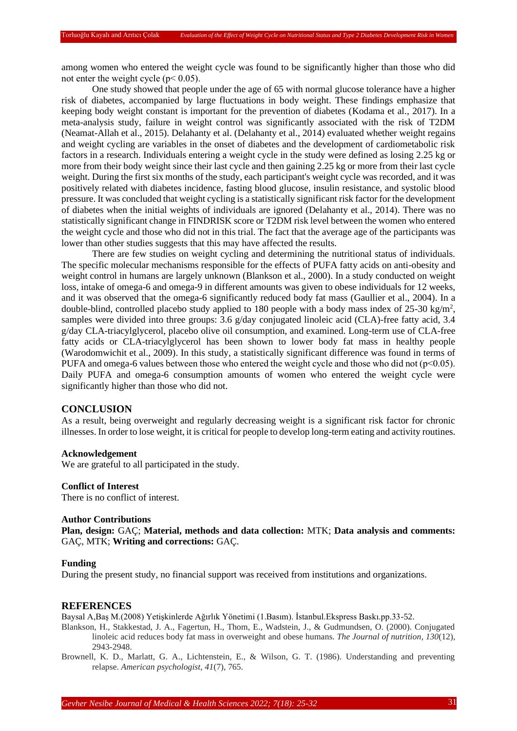among women who entered the weight cycle was found to be significantly higher than those who did not enter the weight cycle ( $p < 0.05$ ).

One study showed that people under the age of 65 with normal glucose tolerance have a higher risk of diabetes, accompanied by large fluctuations in body weight. These findings emphasize that keeping body weight constant is important for the prevention of diabetes (Kodama et al., 2017). In a meta-analysis study, failure in weight control was significantly associated with the risk of T2DM (Neamat-Allah et al., 2015). Delahanty et al. (Delahanty et al., 2014) evaluated whether weight regains and weight cycling are variables in the onset of diabetes and the development of cardiometabolic risk factors in a research. Individuals entering a weight cycle in the study were defined as losing 2.25 kg or more from their body weight since their last cycle and then gaining 2.25 kg or more from their last cycle weight. During the first six months of the study, each participant's weight cycle was recorded, and it was positively related with diabetes incidence, fasting blood glucose, insulin resistance, and systolic blood pressure. It was concluded that weight cycling is a statistically significant risk factor for the development of diabetes when the initial weights of individuals are ignored (Delahanty et al., 2014). There was no statistically significant change in FINDRISK score or T2DM risk level between the women who entered the weight cycle and those who did not in this trial. The fact that the average age of the participants was lower than other studies suggests that this may have affected the results.

There are few studies on weight cycling and determining the nutritional status of individuals. The specific molecular mechanisms responsible for the effects of PUFA fatty acids on anti-obesity and weight control in humans are largely unknown (Blankson et al., 2000). In a study conducted on weight loss, intake of omega-6 and omega-9 in different amounts was given to obese individuals for 12 weeks, and it was observed that the omega-6 significantly reduced body fat mass (Gaullier et al., 2004). In a double-blind, controlled placebo study applied to 180 people with a body mass index of  $25{\text -}30$  kg/m<sup>2</sup>, samples were divided into three groups: 3.6 g/day conjugated linoleic acid (CLA)-free fatty acid, 3.4 g/day CLA-triacylglycerol, placebo olive oil consumption, and examined. Long-term use of CLA-free fatty acids or CLA-triacylglycerol has been shown to lower body fat mass in healthy people (Warodomwichit et al., 2009). In this study, a statistically significant difference was found in terms of PUFA and omega-6 values between those who entered the weight cycle and those who did not (p<0.05). Daily PUFA and omega-6 consumption amounts of women who entered the weight cycle were significantly higher than those who did not.

### **CONCLUSION**

As a result, being overweight and regularly decreasing weight is a significant risk factor for chronic illnesses. In order to lose weight, it is critical for people to develop long-term eating and activity routines.

#### **Acknowledgement**

We are grateful to all participated in the study.

#### **Conflict of Interest**

There is no conflict of interest.

#### **Author Contributions**

**Plan, design:** GAÇ; **Material, methods and data collection:** MTK; **Data analysis and comments:** GAÇ, MTK; **Writing and corrections:** GAÇ.

#### **Funding**

During the present study, no financial support was received from institutions and organizations.

#### **REFERENCES**

Baysal A,Baş M.(2008) Yetişkinlerde Ağırlık Yönetimi (1.Basım). İstanbul.Ekspress Baskı.pp.33-52.

Blankson, H., Stakkestad, J. A., Fagertun, H., Thom, E., Wadstein, J., & Gudmundsen, O. (2000). Conjugated linoleic acid reduces body fat mass in overweight and obese humans. *The Journal of nutrition*, *130*(12), 2943-2948.

Brownell, K. D., Marlatt, G. A., Lichtenstein, E., & Wilson, G. T. (1986). Understanding and preventing relapse. *American psychologist*, *41*(7), 765.